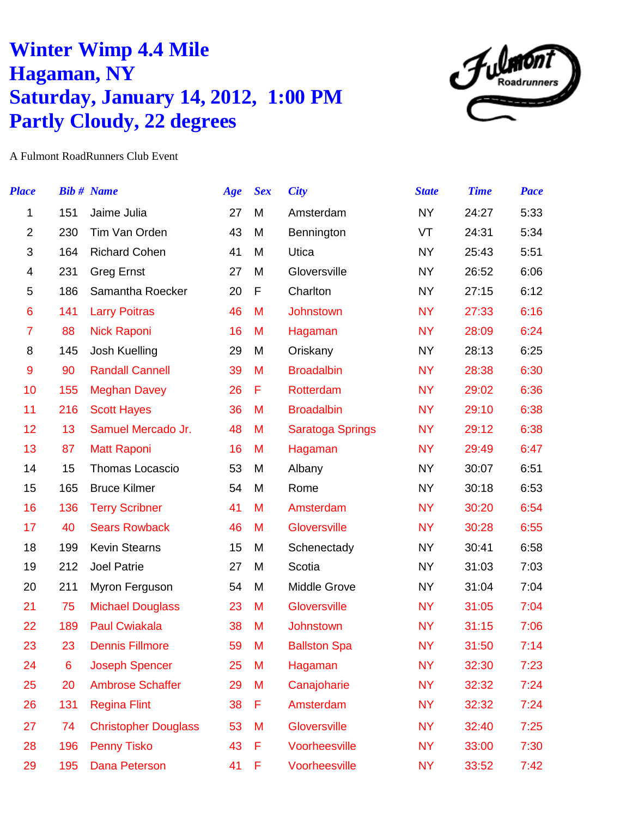## **Winter Wimp 4.4 Mile Hagaman, NY Saturday, January 14, 2012, 1:00 PM Partly Cloudy, 22 degrees**



A Fulmont RoadRunners Club Event

| <b>Place</b>   |     | <b>Bib # Name</b>           | Age | <b>Sex</b> | <b>City</b>             | <b>State</b> | <b>Time</b> | Pace |
|----------------|-----|-----------------------------|-----|------------|-------------------------|--------------|-------------|------|
| 1              | 151 | Jaime Julia                 | 27  | M          | Amsterdam               | <b>NY</b>    | 24:27       | 5:33 |
| $\overline{2}$ | 230 | Tim Van Orden               | 43  | M          | Bennington              | VT           | 24:31       | 5:34 |
| 3              | 164 | <b>Richard Cohen</b>        | 41  | M          | Utica                   | <b>NY</b>    | 25:43       | 5:51 |
| 4              | 231 | <b>Greg Ernst</b>           | 27  | M          | Gloversville            | <b>NY</b>    | 26:52       | 6:06 |
| 5              | 186 | Samantha Roecker            | 20  | F          | Charlton                | <b>NY</b>    | 27:15       | 6:12 |
| 6              | 141 | <b>Larry Poitras</b>        | 46  | M          | Johnstown               | <b>NY</b>    | 27:33       | 6:16 |
| 7              | 88  | <b>Nick Raponi</b>          | 16  | M          | Hagaman                 | <b>NY</b>    | 28:09       | 6:24 |
| 8              | 145 | Josh Kuelling               | 29  | M          | Oriskany                | <b>NY</b>    | 28:13       | 6:25 |
| 9              | 90  | <b>Randall Cannell</b>      | 39  | M          | <b>Broadalbin</b>       | <b>NY</b>    | 28:38       | 6:30 |
| 10             | 155 | <b>Meghan Davey</b>         | 26  | F          | Rotterdam               | <b>NY</b>    | 29:02       | 6:36 |
| 11             | 216 | <b>Scott Hayes</b>          | 36  | M          | <b>Broadalbin</b>       | <b>NY</b>    | 29:10       | 6:38 |
| 12             | 13  | Samuel Mercado Jr.          | 48  | M          | <b>Saratoga Springs</b> | <b>NY</b>    | 29:12       | 6:38 |
| 13             | 87  | <b>Matt Raponi</b>          | 16  | M          | Hagaman                 | <b>NY</b>    | 29:49       | 6:47 |
| 14             | 15  | <b>Thomas Locascio</b>      | 53  | M          | Albany                  | <b>NY</b>    | 30:07       | 6:51 |
| 15             | 165 | <b>Bruce Kilmer</b>         | 54  | M          | Rome                    | <b>NY</b>    | 30:18       | 6:53 |
| 16             | 136 | <b>Terry Scribner</b>       | 41  | M          | Amsterdam               | <b>NY</b>    | 30:20       | 6:54 |
| 17             | 40  | <b>Sears Rowback</b>        | 46  | M          | Gloversville            | <b>NY</b>    | 30:28       | 6:55 |
| 18             | 199 | <b>Kevin Stearns</b>        | 15  | M          | Schenectady             | <b>NY</b>    | 30:41       | 6:58 |
| 19             | 212 | Joel Patrie                 | 27  | M          | Scotia                  | <b>NY</b>    | 31:03       | 7:03 |
| 20             | 211 | Myron Ferguson              | 54  | M          | Middle Grove            | <b>NY</b>    | 31:04       | 7:04 |
| 21             | 75  | <b>Michael Douglass</b>     | 23  | M          | Gloversville            | <b>NY</b>    | 31:05       | 7:04 |
| 22             | 189 | <b>Paul Cwiakala</b>        | 38  | M          | Johnstown               | <b>NY</b>    | 31:15       | 7:06 |
| 23             | 23  | <b>Dennis Fillmore</b>      | 59  | M          | <b>Ballston Spa</b>     | <b>NY</b>    | 31:50       | 7:14 |
| 24             | 6   | <b>Joseph Spencer</b>       | 25  | M          | Hagaman                 | <b>NY</b>    | 32:30       | 7:23 |
| 25             | 20  | <b>Ambrose Schaffer</b>     | 29  | M          | Canajoharie             | <b>NY</b>    | 32:32       | 7:24 |
| 26             | 131 | <b>Regina Flint</b>         | 38  | F          | Amsterdam               | <b>NY</b>    | 32:32       | 7:24 |
| 27             | 74  | <b>Christopher Douglass</b> | 53  | M          | Gloversville            | <b>NY</b>    | 32:40       | 7:25 |
| 28             | 196 | <b>Penny Tisko</b>          | 43  | F          | Voorheesville           | <b>NY</b>    | 33:00       | 7:30 |
| 29             | 195 | Dana Peterson               | 41  | F          | Voorheesville           | <b>NY</b>    | 33:52       | 7:42 |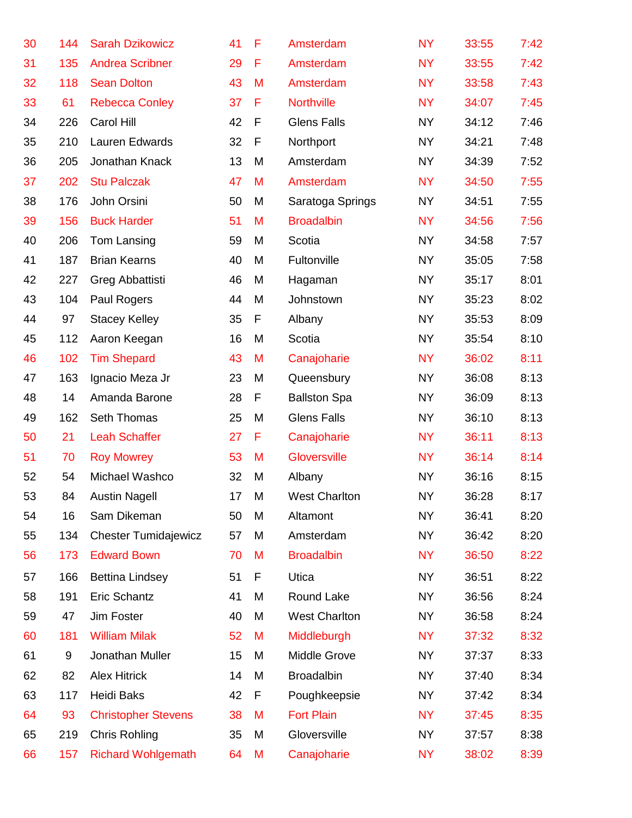| 30 | 144 | <b>Sarah Dzikowicz</b>      | 41 | F | Amsterdam            | <b>NY</b> | 33:55 | 7:42 |
|----|-----|-----------------------------|----|---|----------------------|-----------|-------|------|
| 31 | 135 | <b>Andrea Scribner</b>      | 29 | F | Amsterdam            | <b>NY</b> | 33:55 | 7:42 |
| 32 | 118 | <b>Sean Dolton</b>          | 43 | M | Amsterdam            | <b>NY</b> | 33:58 | 7:43 |
| 33 | 61  | <b>Rebecca Conley</b>       | 37 | F | <b>Northville</b>    | <b>NY</b> | 34:07 | 7:45 |
| 34 | 226 | Carol Hill                  | 42 | F | <b>Glens Falls</b>   | <b>NY</b> | 34:12 | 7:46 |
| 35 | 210 | Lauren Edwards              | 32 | F | Northport            | <b>NY</b> | 34:21 | 7:48 |
| 36 | 205 | Jonathan Knack              | 13 | M | Amsterdam            | <b>NY</b> | 34:39 | 7:52 |
| 37 | 202 | <b>Stu Palczak</b>          | 47 | M | Amsterdam            | <b>NY</b> | 34:50 | 7:55 |
| 38 | 176 | John Orsini                 | 50 | M | Saratoga Springs     | <b>NY</b> | 34:51 | 7:55 |
| 39 | 156 | <b>Buck Harder</b>          | 51 | M | <b>Broadalbin</b>    | <b>NY</b> | 34:56 | 7:56 |
| 40 | 206 | Tom Lansing                 | 59 | M | Scotia               | <b>NY</b> | 34:58 | 7:57 |
| 41 | 187 | <b>Brian Kearns</b>         | 40 | M | Fultonville          | <b>NY</b> | 35:05 | 7:58 |
| 42 | 227 | Greg Abbattisti             | 46 | M | Hagaman              | <b>NY</b> | 35:17 | 8:01 |
| 43 | 104 | Paul Rogers                 | 44 | M | Johnstown            | <b>NY</b> | 35:23 | 8:02 |
| 44 | 97  | <b>Stacey Kelley</b>        | 35 | F | Albany               | <b>NY</b> | 35:53 | 8:09 |
| 45 | 112 | Aaron Keegan                | 16 | M | Scotia               | <b>NY</b> | 35:54 | 8:10 |
| 46 | 102 | <b>Tim Shepard</b>          | 43 | M | Canajoharie          | <b>NY</b> | 36:02 | 8:11 |
| 47 | 163 | Ignacio Meza Jr             | 23 | M | Queensbury           | <b>NY</b> | 36:08 | 8:13 |
| 48 | 14  | Amanda Barone               | 28 | F | <b>Ballston Spa</b>  | <b>NY</b> | 36:09 | 8:13 |
| 49 | 162 | Seth Thomas                 | 25 | M | <b>Glens Falls</b>   | <b>NY</b> | 36:10 | 8:13 |
| 50 | 21  | <b>Leah Schaffer</b>        | 27 | F | Canajoharie          | <b>NY</b> | 36:11 | 8:13 |
| 51 | 70  | <b>Roy Mowrey</b>           | 53 | M | Gloversville         | <b>NY</b> | 36:14 | 8:14 |
| 52 | 54  | Michael Washco              | 32 | M | Albany               | <b>NY</b> | 36:16 | 8:15 |
| 53 | 84  | <b>Austin Nagell</b>        | 17 | Μ | <b>West Charlton</b> | <b>NY</b> | 36:28 | 8:17 |
| 54 | 16  | Sam Dikeman                 | 50 | M | Altamont             | <b>NY</b> | 36:41 | 8:20 |
| 55 | 134 | <b>Chester Tumidajewicz</b> | 57 | M | Amsterdam            | <b>NY</b> | 36:42 | 8:20 |
| 56 | 173 | <b>Edward Bown</b>          | 70 | M | <b>Broadalbin</b>    | <b>NY</b> | 36:50 | 8:22 |
| 57 | 166 | <b>Bettina Lindsey</b>      | 51 | F | Utica                | <b>NY</b> | 36:51 | 8:22 |
| 58 | 191 | Eric Schantz                | 41 | M | Round Lake           | <b>NY</b> | 36:56 | 8:24 |
| 59 | 47  | Jim Foster                  | 40 | M | <b>West Charlton</b> | <b>NY</b> | 36:58 | 8:24 |
| 60 | 181 | <b>William Milak</b>        | 52 | M | Middleburgh          | <b>NY</b> | 37:32 | 8:32 |
| 61 | 9   | Jonathan Muller             | 15 | M | Middle Grove         | <b>NY</b> | 37:37 | 8:33 |
| 62 | 82  | <b>Alex Hitrick</b>         | 14 | M | <b>Broadalbin</b>    | <b>NY</b> | 37:40 | 8:34 |
| 63 | 117 | Heidi Baks                  | 42 | F | Poughkeepsie         | <b>NY</b> | 37:42 | 8:34 |
| 64 | 93  | <b>Christopher Stevens</b>  | 38 | M | <b>Fort Plain</b>    | <b>NY</b> | 37:45 | 8:35 |
| 65 | 219 | Chris Rohling               | 35 | M | Gloversville         | <b>NY</b> | 37:57 | 8:38 |
| 66 | 157 | <b>Richard Wohlgemath</b>   | 64 | M | Canajoharie          | <b>NY</b> | 38:02 | 8:39 |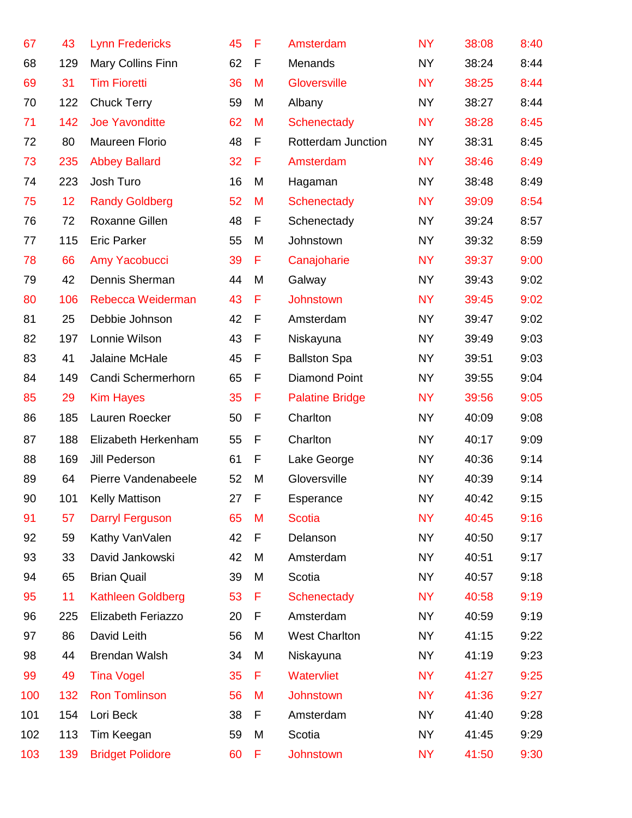| 67  | 43  | <b>Lynn Fredericks</b>  | 45 | F | Amsterdam              | <b>NY</b> | 38:08 | 8:40 |
|-----|-----|-------------------------|----|---|------------------------|-----------|-------|------|
| 68  | 129 | Mary Collins Finn       | 62 | F | Menands                | <b>NY</b> | 38:24 | 8:44 |
| 69  | 31  | <b>Tim Fioretti</b>     | 36 | M | Gloversville           | <b>NY</b> | 38:25 | 8:44 |
| 70  | 122 | <b>Chuck Terry</b>      | 59 | M | Albany                 | <b>NY</b> | 38:27 | 8:44 |
| 71  | 142 | <b>Joe Yavonditte</b>   | 62 | M | Schenectady            | <b>NY</b> | 38:28 | 8:45 |
| 72  | 80  | Maureen Florio          | 48 | F | Rotterdam Junction     | <b>NY</b> | 38:31 | 8:45 |
| 73  | 235 | <b>Abbey Ballard</b>    | 32 | F | Amsterdam              | <b>NY</b> | 38:46 | 8:49 |
| 74  | 223 | Josh Turo               | 16 | M | Hagaman                | <b>NY</b> | 38:48 | 8:49 |
| 75  | 12  | <b>Randy Goldberg</b>   | 52 | M | Schenectady            | <b>NY</b> | 39:09 | 8:54 |
| 76  | 72  | Roxanne Gillen          | 48 | F | Schenectady            | <b>NY</b> | 39:24 | 8:57 |
| 77  | 115 | <b>Eric Parker</b>      | 55 | M | Johnstown              | <b>NY</b> | 39:32 | 8:59 |
| 78  | 66  | Amy Yacobucci           | 39 | F | Canajoharie            | <b>NY</b> | 39:37 | 9:00 |
| 79  | 42  | Dennis Sherman          | 44 | M | Galway                 | <b>NY</b> | 39:43 | 9:02 |
| 80  | 106 | Rebecca Weiderman       | 43 | F | <b>Johnstown</b>       | <b>NY</b> | 39:45 | 9:02 |
| 81  | 25  | Debbie Johnson          | 42 | F | Amsterdam              | <b>NY</b> | 39:47 | 9:02 |
| 82  | 197 | Lonnie Wilson           | 43 | F | Niskayuna              | <b>NY</b> | 39:49 | 9:03 |
| 83  | 41  | Jalaine McHale          | 45 | F | <b>Ballston Spa</b>    | <b>NY</b> | 39:51 | 9:03 |
| 84  | 149 | Candi Schermerhorn      | 65 | F | <b>Diamond Point</b>   | <b>NY</b> | 39:55 | 9:04 |
| 85  | 29  | <b>Kim Hayes</b>        | 35 | F | <b>Palatine Bridge</b> | <b>NY</b> | 39:56 | 9:05 |
| 86  | 185 | Lauren Roecker          | 50 | F | Charlton               | <b>NY</b> | 40:09 | 9:08 |
| 87  | 188 | Elizabeth Herkenham     | 55 | F | Charlton               | <b>NY</b> | 40:17 | 9:09 |
| 88  | 169 | Jill Pederson           | 61 | F | Lake George            | <b>NY</b> | 40:36 | 9:14 |
| 89  | 64  | Pierre Vandenabeele     | 52 | M | Gloversville           | <b>NY</b> | 40:39 | 9:14 |
| 90  | 101 | <b>Kelly Mattison</b>   | 27 | F | Esperance              | NY        | 40:42 | 9:15 |
| 91  | 57  | <b>Darryl Ferguson</b>  | 65 | M | <b>Scotia</b>          | <b>NY</b> | 40:45 | 9:16 |
| 92  | 59  | Kathy VanValen          | 42 | F | Delanson               | <b>NY</b> | 40:50 | 9:17 |
| 93  | 33  | David Jankowski         | 42 | M | Amsterdam              | <b>NY</b> | 40:51 | 9:17 |
| 94  | 65  | <b>Brian Quail</b>      | 39 | M | Scotia                 | <b>NY</b> | 40:57 | 9:18 |
| 95  | 11  | Kathleen Goldberg       | 53 | F | Schenectady            | <b>NY</b> | 40:58 | 9:19 |
| 96  | 225 | Elizabeth Feriazzo      | 20 | F | Amsterdam              | <b>NY</b> | 40:59 | 9:19 |
| 97  | 86  | David Leith             | 56 | M | <b>West Charlton</b>   | <b>NY</b> | 41:15 | 9:22 |
| 98  | 44  | Brendan Walsh           | 34 | M | Niskayuna              | <b>NY</b> | 41:19 | 9:23 |
| 99  | 49  | <b>Tina Vogel</b>       | 35 | F | Watervliet             | <b>NY</b> | 41:27 | 9:25 |
| 100 | 132 | <b>Ron Tomlinson</b>    | 56 | M | Johnstown              | <b>NY</b> | 41:36 | 9:27 |
| 101 | 154 | Lori Beck               | 38 | F | Amsterdam              | <b>NY</b> | 41:40 | 9:28 |
| 102 | 113 | Tim Keegan              | 59 | M | Scotia                 | <b>NY</b> | 41:45 | 9:29 |
| 103 | 139 | <b>Bridget Polidore</b> | 60 | F | Johnstown              | <b>NY</b> | 41:50 | 9:30 |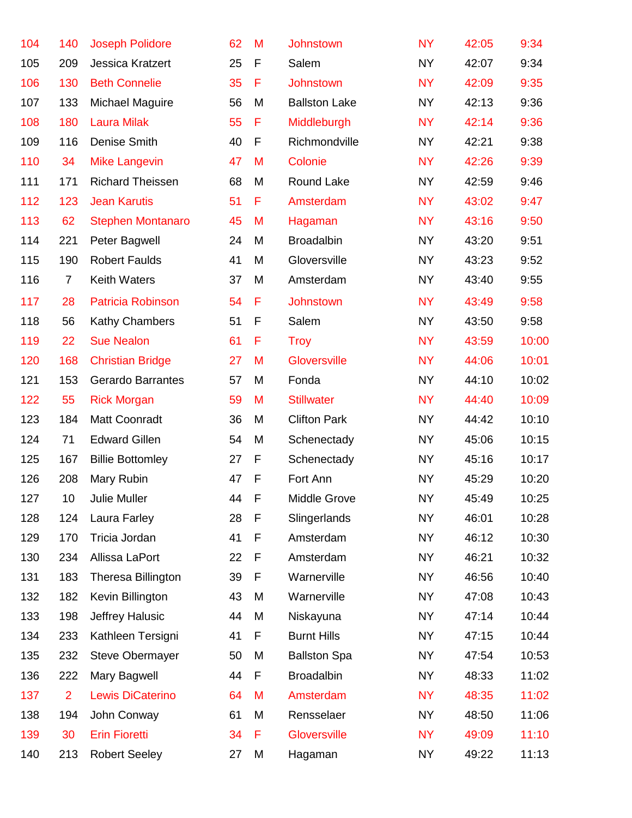| 104 | 140             | <b>Joseph Polidore</b>   | 62 | M | Johnstown            | <b>NY</b> | 42:05 | 9:34  |
|-----|-----------------|--------------------------|----|---|----------------------|-----------|-------|-------|
| 105 | 209             | Jessica Kratzert         | 25 | F | Salem                | <b>NY</b> | 42:07 | 9:34  |
| 106 | 130             | <b>Beth Connelie</b>     | 35 | F | Johnstown            | <b>NY</b> | 42:09 | 9:35  |
| 107 | 133             | Michael Maguire          | 56 | M | <b>Ballston Lake</b> | <b>NY</b> | 42:13 | 9:36  |
| 108 | 180             | <b>Laura Milak</b>       | 55 | F | Middleburgh          | <b>NY</b> | 42:14 | 9:36  |
| 109 | 116             | Denise Smith             | 40 | F | Richmondville        | <b>NY</b> | 42:21 | 9:38  |
| 110 | 34              | <b>Mike Langevin</b>     | 47 | M | Colonie              | <b>NY</b> | 42:26 | 9:39  |
| 111 | 171             | <b>Richard Theissen</b>  | 68 | M | Round Lake           | <b>NY</b> | 42:59 | 9:46  |
| 112 | 123             | <b>Jean Karutis</b>      | 51 | F | Amsterdam            | <b>NY</b> | 43:02 | 9:47  |
| 113 | 62              | <b>Stephen Montanaro</b> | 45 | M | Hagaman              | <b>NY</b> | 43:16 | 9:50  |
| 114 | 221             | Peter Bagwell            | 24 | M | <b>Broadalbin</b>    | <b>NY</b> | 43:20 | 9:51  |
| 115 | 190             | <b>Robert Faulds</b>     | 41 | M | Gloversville         | <b>NY</b> | 43:23 | 9:52  |
| 116 | $\overline{7}$  | <b>Keith Waters</b>      | 37 | M | Amsterdam            | <b>NY</b> | 43:40 | 9:55  |
| 117 | 28              | Patricia Robinson        | 54 | F | <b>Johnstown</b>     | <b>NY</b> | 43:49 | 9:58  |
| 118 | 56              | Kathy Chambers           | 51 | F | Salem                | <b>NY</b> | 43:50 | 9:58  |
| 119 | 22              | <b>Sue Nealon</b>        | 61 | F | <b>Troy</b>          | <b>NY</b> | 43:59 | 10:00 |
| 120 | 168             | <b>Christian Bridge</b>  | 27 | M | Gloversville         | <b>NY</b> | 44:06 | 10:01 |
| 121 | 153             | <b>Gerardo Barrantes</b> | 57 | M | Fonda                | <b>NY</b> | 44:10 | 10:02 |
| 122 | 55              | <b>Rick Morgan</b>       | 59 | M | <b>Stillwater</b>    | <b>NY</b> | 44:40 | 10:09 |
| 123 | 184             | Matt Coonradt            | 36 | M | <b>Clifton Park</b>  | <b>NY</b> | 44:42 | 10:10 |
| 124 | 71              | <b>Edward Gillen</b>     | 54 | M | Schenectady          | <b>NY</b> | 45:06 | 10:15 |
| 125 | 167             | <b>Billie Bottomley</b>  | 27 | F | Schenectady          | <b>NY</b> | 45:16 | 10:17 |
| 126 | 208             | Mary Rubin               | 47 | F | Fort Ann             | <b>NY</b> | 45:29 | 10:20 |
| 127 | 10 <sup>°</sup> | Julie Muller             | 44 | F | Middle Grove         | NY        | 45:49 | 10:25 |
| 128 | 124             | Laura Farley             | 28 | F | Slingerlands         | <b>NY</b> | 46:01 | 10:28 |
| 129 | 170             | Tricia Jordan            | 41 | F | Amsterdam            | <b>NY</b> | 46:12 | 10:30 |
| 130 | 234             | Allissa LaPort           | 22 | F | Amsterdam            | <b>NY</b> | 46:21 | 10:32 |
| 131 | 183             | Theresa Billington       | 39 | F | Warnerville          | <b>NY</b> | 46:56 | 10:40 |
| 132 | 182             | Kevin Billington         | 43 | M | Warnerville          | <b>NY</b> | 47:08 | 10:43 |
| 133 | 198             | Jeffrey Halusic          | 44 | M | Niskayuna            | <b>NY</b> | 47:14 | 10:44 |
| 134 | 233             | Kathleen Tersigni        | 41 | F | <b>Burnt Hills</b>   | <b>NY</b> | 47:15 | 10:44 |
| 135 | 232             | <b>Steve Obermayer</b>   | 50 | M | <b>Ballston Spa</b>  | <b>NY</b> | 47:54 | 10:53 |
| 136 | 222             | Mary Bagwell             | 44 | F | <b>Broadalbin</b>    | <b>NY</b> | 48:33 | 11:02 |
| 137 | $\overline{2}$  | Lewis DiCaterino         | 64 | M | Amsterdam            | <b>NY</b> | 48:35 | 11:02 |
| 138 | 194             | John Conway              | 61 | M | Rensselaer           | <b>NY</b> | 48:50 | 11:06 |
| 139 | 30              | <b>Erin Fioretti</b>     | 34 | F | Gloversville         | <b>NY</b> | 49:09 | 11:10 |
| 140 | 213             | <b>Robert Seeley</b>     | 27 | M | Hagaman              | <b>NY</b> | 49:22 | 11:13 |